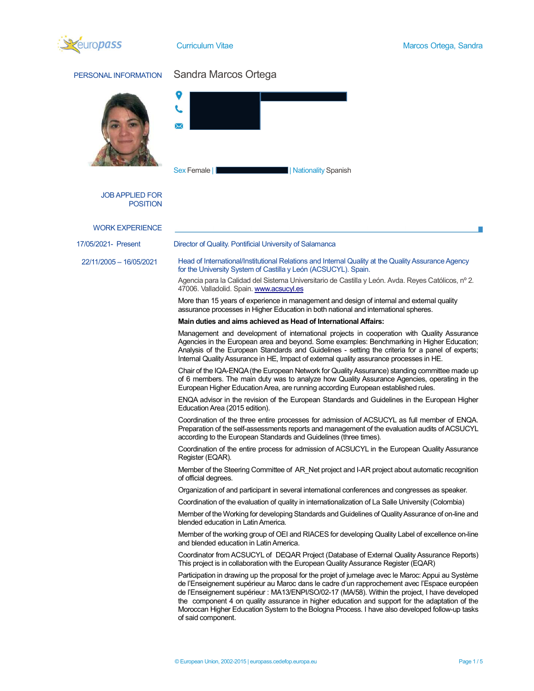

| PERSONAL INFORMATION                      | Sandra Marcos Ortega                                                                                                                                                                                                                                                                                                                                                                                                                                                                                                            |  |  |  |  |
|-------------------------------------------|---------------------------------------------------------------------------------------------------------------------------------------------------------------------------------------------------------------------------------------------------------------------------------------------------------------------------------------------------------------------------------------------------------------------------------------------------------------------------------------------------------------------------------|--|--|--|--|
|                                           | $\Join$                                                                                                                                                                                                                                                                                                                                                                                                                                                                                                                         |  |  |  |  |
|                                           | Nationality Spanish<br>Sex Female   <b> </b>                                                                                                                                                                                                                                                                                                                                                                                                                                                                                    |  |  |  |  |
| <b>JOB APPLIED FOR</b><br><b>POSITION</b> |                                                                                                                                                                                                                                                                                                                                                                                                                                                                                                                                 |  |  |  |  |
| <b>WORK EXPERIENCE</b>                    |                                                                                                                                                                                                                                                                                                                                                                                                                                                                                                                                 |  |  |  |  |
| 17/05/2021- Present                       | Director of Quality. Pontificial University of Salamanca                                                                                                                                                                                                                                                                                                                                                                                                                                                                        |  |  |  |  |
| 22/11/2005 - 16/05/2021                   | Head of International/Institutional Relations and Internal Quality at the Quality Assurance Agency<br>for the University System of Castilla y León (ACSUCYL). Spain.                                                                                                                                                                                                                                                                                                                                                            |  |  |  |  |
|                                           | Agencia para la Calidad del Sistema Universitario de Castilla y León. Avda. Reyes Católicos, nº 2.<br>47006. Valladolid. Spain. www.acsucyl.es                                                                                                                                                                                                                                                                                                                                                                                  |  |  |  |  |
|                                           | More than 15 years of experience in management and design of internal and external quality<br>assurance processes in Higher Education in both national and international spheres.                                                                                                                                                                                                                                                                                                                                               |  |  |  |  |
|                                           | Main duties and aims achieved as Head of International Affairs:                                                                                                                                                                                                                                                                                                                                                                                                                                                                 |  |  |  |  |
|                                           | Management and development of international projects in cooperation with Quality Assurance<br>Agencies in the European area and beyond. Some examples: Benchmarking in Higher Education;<br>Analysis of the European Standards and Guidelines - setting the criteria for a panel of experts;<br>Internal Quality Assurance in HE, Impact of external quality assurance processes in HE.                                                                                                                                         |  |  |  |  |
|                                           | Chair of the IQA-ENQA (the European Network for Quality Assurance) standing committee made up<br>of 6 members. The main duty was to analyze how Quality Assurance Agencies, operating in the<br>European Higher Education Area, are running according European established rules.                                                                                                                                                                                                                                               |  |  |  |  |
|                                           | ENQA advisor in the revision of the European Standards and Guidelines in the European Higher<br>Education Area (2015 edition).                                                                                                                                                                                                                                                                                                                                                                                                  |  |  |  |  |
|                                           | Coordination of the three entire processes for admission of ACSUCYL as full member of ENQA.<br>Preparation of the self-assessments reports and management of the evaluation audits of ACSUCYL<br>according to the European Standards and Guidelines (three times).                                                                                                                                                                                                                                                              |  |  |  |  |
|                                           | Coordination of the entire process for admission of ACSUCYL in the European Quality Assurance<br>Register (EQAR).                                                                                                                                                                                                                                                                                                                                                                                                               |  |  |  |  |
|                                           | Member of the Steering Committee of AR_Net project and I-AR project about automatic recognition<br>of official degrees.                                                                                                                                                                                                                                                                                                                                                                                                         |  |  |  |  |
|                                           | Organization of and participant in several international conferences and congresses as speaker.                                                                                                                                                                                                                                                                                                                                                                                                                                 |  |  |  |  |
|                                           | Coordination of the evaluation of quality in internationalization of La Salle University (Colombia)                                                                                                                                                                                                                                                                                                                                                                                                                             |  |  |  |  |
|                                           | Member of the Working for developing Standards and Guidelines of Quality Assurance of on-line and<br>blended education in Latin America.                                                                                                                                                                                                                                                                                                                                                                                        |  |  |  |  |
|                                           | Member of the working group of OEI and RIACES for developing Quality Label of excellence on-line<br>and blended education in Latin America.                                                                                                                                                                                                                                                                                                                                                                                     |  |  |  |  |
|                                           | Coordinator from ACSUCYL of DEQAR Project (Database of External Quality Assurance Reports)<br>This project is in collaboration with the European Quality Assurance Register (EQAR)                                                                                                                                                                                                                                                                                                                                              |  |  |  |  |
|                                           | Participation in drawing up the proposal for the projet of jumelage avec le Maroc: Appui au Système<br>de l'Enseignement supérieur au Maroc dans le cadre d'un rapprochement avec l'Espace européen<br>de l'Enseignement supérieur : MA13/ENPI/SO/02-17 (MA/58). Within the project, I have developed<br>the component 4 on quality assurance in higher education and support for the adaptation of the<br>Moroccan Higher Education System to the Bologna Process. I have also developed follow-up tasks<br>of said component. |  |  |  |  |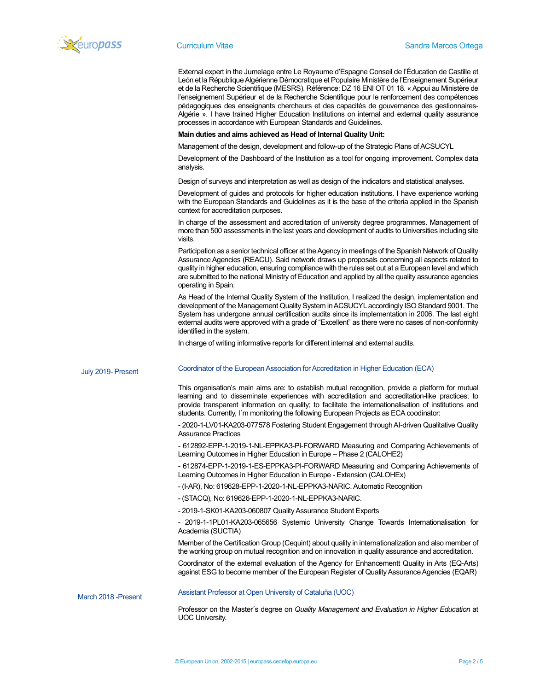

External expert in the Jumelage entre Le Royaume d'Espagne Conseil de l'Éducation de Castille et León et la République Algérienne Démocratique et Populaire Ministère de l'Enseignement Supérieur et de la Recherche Scientifique (MESRS). Référence: DZ 16 ENI OT 01 18. « Appui au Ministère de l'enseignement Supérieur et de la Recherche Scientifique pour le renforcement des compétences pédagogiques des enseignants chercheurs et des capacités de gouvernance des gestionnaires-Algérie ». I have trained Higher Education Institutions on internal and external quality assurance processes in accordance with European Standards and Guidelines.

## Main duties and aims achieved as Head of Internal Quality Unit:

Management of the design, development and follow-up of the Strategic Plans of ACSUCYL

Development of the Dashboard of the Institution as a tool for ongoing improvement. Complex data analysis.

Design of surveys and interpretation as well as design of the indicators and statistical analyses.

Development of guides and protocols for higher education institutions. I have experience working with the European Standards and Guidelines as it is the base of the criteria applied in the Spanish context for accreditation purposes.

In charge of the assessment and accreditation of university degree programmes. Management of more than 500 assessments in the last years and development of audits to Universities including site visits.

Participation as a senior technical officer at the Agency in meetings of the Spanish Network of Quality Assurance Agencies (REACU). Said network draws up proposals concerning all aspects related to quality in higher education, ensuring compliance with the rules set out at a European level and which are submitted to the national Ministry of Education and applied by all the quality assurance agencies operating in Spain.

As Head of the Internal Quality System of the Institution, I realized the design, implementation and development of the Management Quality System in ACSUCYL accordingly ISO Standard 9001. The System has undergone annual certification audits since its implementation in 2006. The last eight external audits were approved with a grade of "Excellent" as there were no cases of non-conformity identified in the system.

|                      | identified in the system.                                                                                                                                                                                                                                                                                                                                                                                |
|----------------------|----------------------------------------------------------------------------------------------------------------------------------------------------------------------------------------------------------------------------------------------------------------------------------------------------------------------------------------------------------------------------------------------------------|
|                      | In charge of writing informative reports for different internal and external audits.                                                                                                                                                                                                                                                                                                                     |
| July 2019- Present   | Coordinator of the European Association for Accreditation in Higher Education (ECA)                                                                                                                                                                                                                                                                                                                      |
|                      | This organisation's main aims are: to establish mutual recognition, provide a platform for mutual<br>learning and to disseminate experiences with accreditation and accreditation-like practices; to<br>provide transparent information on quality; to facilitate the internationalisation of institutions and<br>students. Currently, I'm monitoring the following European Projects as ECA coodinator: |
|                      | - 2020-1-LV01-KA203-077578 Fostering Student Engagement through AI-driven Qualitative Quality<br><b>Assurance Practices</b>                                                                                                                                                                                                                                                                              |
|                      | - 612892-EPP-1-2019-1-NL-EPPKA3-PI-FORWARD Measuring and Comparing Achievements of<br>Learning Outcomes in Higher Education in Europe - Phase 2 (CALOHE2)                                                                                                                                                                                                                                                |
|                      | - 612874-EPP-1-2019-1-ES-EPPKA3-PI-FORWARD Measuring and Comparing Achievements of<br>Learning Outcomes in Higher Education in Europe - Extension (CALOHEx)                                                                                                                                                                                                                                              |
|                      | - (I-AR), No: 619628-EPP-1-2020-1-NL-EPPKA3-NARIC. Automatic Recognition                                                                                                                                                                                                                                                                                                                                 |
|                      | - (STACQ), No: 619626-EPP-1-2020-1-NL-EPPKA3-NARIC.                                                                                                                                                                                                                                                                                                                                                      |
|                      | - 2019-1-SK01-KA203-060807 Quality Assurance Student Experts                                                                                                                                                                                                                                                                                                                                             |
|                      | - 2019-1-1PL01-KA203-065656 Systemic University Change Towards Internationalisation for<br>Academia (SUCTIA)                                                                                                                                                                                                                                                                                             |
|                      | Member of the Certification Group (Cequint) about quality in internationalization and also member of<br>the working group on mutual recognition and on innovation in quality assurance and accreditation.                                                                                                                                                                                                |
|                      | Coordinator of the external evaluation of the Agency for Enhancementt Quality in Arts (EQ-Arts)<br>against ESG to become member of the European Register of Quality Assurance Agencies (EQAR)                                                                                                                                                                                                            |
| March 2018 - Present | Assistant Professor at Open University of Cataluña (UOC)                                                                                                                                                                                                                                                                                                                                                 |
|                      | Professor on the Master's degree on Quality Management and Evaluation in Higher Education at<br><b>UOC University.</b>                                                                                                                                                                                                                                                                                   |
|                      |                                                                                                                                                                                                                                                                                                                                                                                                          |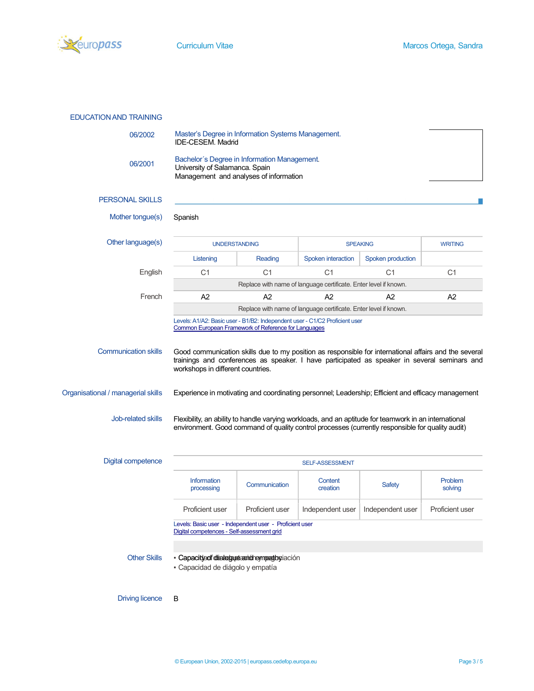

| 06/2002                                                  | Master's Degree in Information Systems Management.<br>IDE-CESEM. Madrid                                                                                                                                                                                                                                         |                        |                                                                  |                   |                        |  |
|----------------------------------------------------------|-----------------------------------------------------------------------------------------------------------------------------------------------------------------------------------------------------------------------------------------------------------------------------------------------------------------|------------------------|------------------------------------------------------------------|-------------------|------------------------|--|
| 06/2001                                                  | Bachelor's Degree in Information Management.<br>University of Salamanca. Spain<br>Management and analyses of information                                                                                                                                                                                        |                        |                                                                  |                   |                        |  |
| <b>PERSONAL SKILLS</b>                                   |                                                                                                                                                                                                                                                                                                                 |                        |                                                                  |                   |                        |  |
| Mother tongue(s)                                         | Spanish                                                                                                                                                                                                                                                                                                         |                        |                                                                  |                   |                        |  |
| Other language(s)                                        | <b>UNDERSTANDING</b>                                                                                                                                                                                                                                                                                            |                        | <b>SPEAKING</b>                                                  |                   | <b>WRITING</b>         |  |
|                                                          | Listening                                                                                                                                                                                                                                                                                                       | Reading                | <b>Spoken interaction</b>                                        | Spoken production |                        |  |
| English                                                  | C <sub>1</sub>                                                                                                                                                                                                                                                                                                  | C <sub>1</sub>         | C <sub>1</sub>                                                   | C <sub>1</sub>    | C <sub>1</sub>         |  |
|                                                          |                                                                                                                                                                                                                                                                                                                 |                        | Replace with name of language certificate. Enter level if known. |                   |                        |  |
| French                                                   | A2                                                                                                                                                                                                                                                                                                              | A <sub>2</sub>         | A2                                                               | A <sub>2</sub>    | A2                     |  |
|                                                          |                                                                                                                                                                                                                                                                                                                 |                        | Replace with name of language certificate. Enter level if known. |                   |                        |  |
| Organisational / managerial skills<br>Job-related skills | Experience in motivating and coordinating personnel; Leadership; Efficient and efficacy management<br>Flexibility, an ability to handle varying workloads, and an aptitude for teamwork in an international<br>environment. Good command of quality control processes (currently responsible for quality audit) |                        |                                                                  |                   |                        |  |
| <b>Digital competence</b>                                |                                                                                                                                                                                                                                                                                                                 |                        | SELF-ASSESSMENT                                                  |                   |                        |  |
|                                                          | <b>Information</b><br>processing                                                                                                                                                                                                                                                                                | Communication          | Content<br>creation                                              | <b>Safety</b>     | Problem<br>solving     |  |
|                                                          | <b>Proficient user</b>                                                                                                                                                                                                                                                                                          | <b>Proficient user</b> | Independent user                                                 | Independent user  | <b>Proficient user</b> |  |
|                                                          | Levels: Basic user - Independent user - Proficient user<br>Digital competences - Self-assessment grid                                                                                                                                                                                                           |                        |                                                                  |                   |                        |  |
| <b>Other Skills</b>                                      | · Capacityadf dia holguda and heynpathylación<br>- Capacidad de diágolo y empatía                                                                                                                                                                                                                               |                        |                                                                  |                   |                        |  |

Driving licence B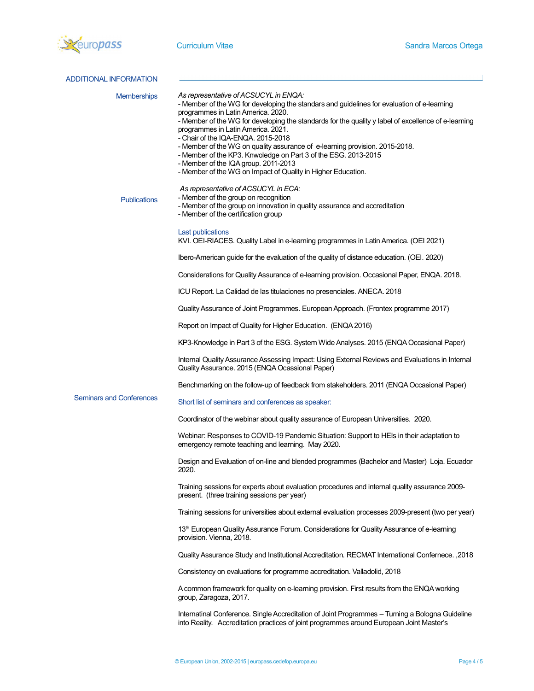

| ADDITIONAL INFORMATION          |                                                                                                                                                                                                                                                                                                                                                                                                                                                                                                                                                                                                                       |
|---------------------------------|-----------------------------------------------------------------------------------------------------------------------------------------------------------------------------------------------------------------------------------------------------------------------------------------------------------------------------------------------------------------------------------------------------------------------------------------------------------------------------------------------------------------------------------------------------------------------------------------------------------------------|
| <b>Memberships</b>              | As representative of ACSUCYL in ENQA:<br>- Member of the WG for developing the standars and guidelines for evaluation of e-learning<br>programmes in Latin America. 2020.<br>- Member of the WG for developing the standards for the quality y label of excellence of e-learning<br>programmes in Latin America. 2021.<br>- Chair of the IQA-ENQA. 2015-2018<br>- Member of the WG on quality assurance of e-learning provision. 2015-2018.<br>- Member of the KP3. Knwoledge on Part 3 of the ESG. 2013-2015<br>- Member of the IQA group. 2011-2013<br>- Member of the WG on Impact of Quality in Higher Education. |
| <b>Publications</b>             | As representative of ACSUCYL in ECA:<br>- Member of the group on recognition<br>- Member of the group on innovation in quality assurance and accreditation<br>- Member of the certification group                                                                                                                                                                                                                                                                                                                                                                                                                     |
|                                 | Last publications<br>KVI. OEI-RIACES. Quality Label in e-learning programmes in Latin America. (OEI 2021)                                                                                                                                                                                                                                                                                                                                                                                                                                                                                                             |
|                                 | Ibero-American guide for the evaluation of the quality of distance education. (OEI. 2020)                                                                                                                                                                                                                                                                                                                                                                                                                                                                                                                             |
|                                 | Considerations for Quality Assurance of e-learning provision. Occasional Paper, ENQA. 2018.                                                                                                                                                                                                                                                                                                                                                                                                                                                                                                                           |
|                                 | ICU Report. La Calidad de las titulaciones no presenciales. ANECA. 2018                                                                                                                                                                                                                                                                                                                                                                                                                                                                                                                                               |
|                                 | Quality Assurance of Joint Programmes. European Approach. (Frontex programme 2017)                                                                                                                                                                                                                                                                                                                                                                                                                                                                                                                                    |
|                                 | Report on Impact of Quality for Higher Education. (ENQA 2016)                                                                                                                                                                                                                                                                                                                                                                                                                                                                                                                                                         |
|                                 | KP3-Knowledge in Part 3 of the ESG. System Wide Analyses. 2015 (ENQA Occasional Paper)                                                                                                                                                                                                                                                                                                                                                                                                                                                                                                                                |
|                                 | Internal Quality Assurance Assessing Impact: Using External Reviews and Evaluations in Internal<br>Quality Assurance. 2015 (ENQA Ocassional Paper)                                                                                                                                                                                                                                                                                                                                                                                                                                                                    |
|                                 | Benchmarking on the follow-up of feedback from stakeholders. 2011 (ENQA Occasional Paper)                                                                                                                                                                                                                                                                                                                                                                                                                                                                                                                             |
| <b>Seminars and Conferences</b> | Short list of seminars and conferences as speaker:                                                                                                                                                                                                                                                                                                                                                                                                                                                                                                                                                                    |
|                                 | Coordinator of the webinar about quality assurance of European Universities. 2020.                                                                                                                                                                                                                                                                                                                                                                                                                                                                                                                                    |
|                                 | Webinar: Responses to COVID-19 Pandemic Situation: Support to HEIs in their adaptation to<br>emergency remote teaching and learning. May 2020.                                                                                                                                                                                                                                                                                                                                                                                                                                                                        |
|                                 | Design and Evaluation of on-line and blended programmes (Bachelor and Master) Loja. Ecuador<br>2020.                                                                                                                                                                                                                                                                                                                                                                                                                                                                                                                  |
|                                 | Training sessions for experts about evaluation procedures and internal quality assurance 2009-<br>present. (three training sessions per year)                                                                                                                                                                                                                                                                                                                                                                                                                                                                         |
|                                 | Training sessions for universities about external evaluation processes 2009-present (two per year)                                                                                                                                                                                                                                                                                                                                                                                                                                                                                                                    |
|                                 | 13 <sup>th</sup> European Quality Assurance Forum. Considerations for Quality Assurance of e-learning<br>provision. Vienna, 2018.                                                                                                                                                                                                                                                                                                                                                                                                                                                                                     |
|                                 | 2018, Quality Assurance Study and Institutional Accreditation. RECMAT International Confernece.                                                                                                                                                                                                                                                                                                                                                                                                                                                                                                                       |
|                                 | Consistency on evaluations for programme accreditation. Valladolid, 2018                                                                                                                                                                                                                                                                                                                                                                                                                                                                                                                                              |
|                                 | A common framework for quality on e-learning provision. First results from the ENQA working<br>group, Zaragoza, 2017.                                                                                                                                                                                                                                                                                                                                                                                                                                                                                                 |
|                                 | Internatinal Conference. Single Accreditation of Joint Programmes - Turning a Bologna Guideline<br>into Reality. Accreditation practices of joint programmes around European Joint Master's                                                                                                                                                                                                                                                                                                                                                                                                                           |